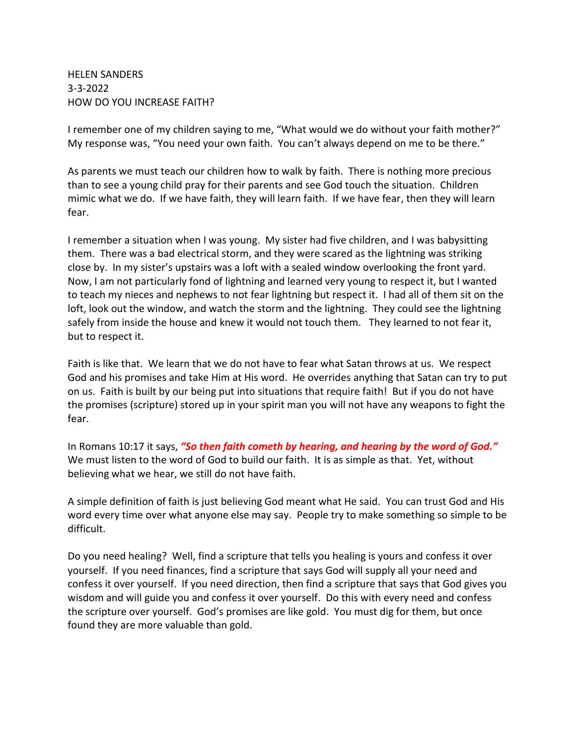HELEN SANDERS 3-3-2022 HOW DO YOU INCREASE FAITH?

I remember one of my children saying to me, "What would we do without your faith mother?" My response was, "You need your own faith. You can't always depend on me to be there."

As parents we must teach our children how to walk by faith. There is nothing more precious than to see a young child pray for their parents and see God touch the situation. Children mimic what we do. If we have faith, they will learn faith. If we have fear, then they will learn fear.

I remember a situation when I was young. My sister had five children, and I was babysitting them. There was a bad electrical storm, and they were scared as the lightning was striking close by. In my sister's upstairs was a loft with a sealed window overlooking the front yard. Now, I am not particularly fond of lightning and learned very young to respect it, but I wanted to teach my nieces and nephews to not fear lightning but respect it. I had all of them sit on the loft, look out the window, and watch the storm and the lightning. They could see the lightning safely from inside the house and knew it would not touch them. They learned to not fear it, but to respect it.

Faith is like that. We learn that we do not have to fear what Satan throws at us. We respect God and his promises and take Him at His word. He overrides anything that Satan can try to put on us. Faith is built by our being put into situations that require faith! But if you do not have the promises (scripture) stored up in your spirit man you will not have any weapons to fight the fear.

In Romans 10:17 it says, *"So then faith cometh by hearing, and hearing by the word of God."* We must listen to the word of God to build our faith. It is as simple as that. Yet, without believing what we hear, we still do not have faith.

A simple definition of faith is just believing God meant what He said. You can trust God and His word every time over what anyone else may say. People try to make something so simple to be difficult.

Do you need healing? Well, find a scripture that tells you healing is yours and confess it over yourself. If you need finances, find a scripture that says God will supply all your need and confess it over yourself. If you need direction, then find a scripture that says that God gives you wisdom and will guide you and confess it over yourself. Do this with every need and confess the scripture over yourself. God's promises are like gold. You must dig for them, but once found they are more valuable than gold.